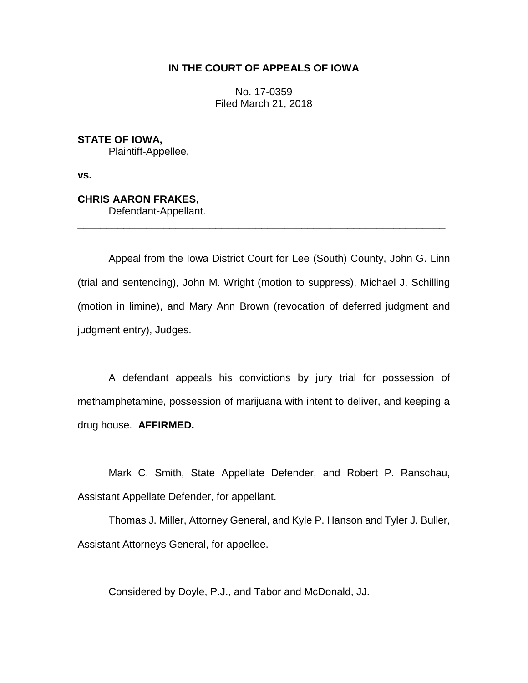# **IN THE COURT OF APPEALS OF IOWA**

No. 17-0359 Filed March 21, 2018

**STATE OF IOWA,** Plaintiff-Appellee,

**vs.**

# **CHRIS AARON FRAKES,** Defendant-Appellant.

Appeal from the Iowa District Court for Lee (South) County, John G. Linn (trial and sentencing), John M. Wright (motion to suppress), Michael J. Schilling (motion in limine), and Mary Ann Brown (revocation of deferred judgment and judgment entry), Judges.

\_\_\_\_\_\_\_\_\_\_\_\_\_\_\_\_\_\_\_\_\_\_\_\_\_\_\_\_\_\_\_\_\_\_\_\_\_\_\_\_\_\_\_\_\_\_\_\_\_\_\_\_\_\_\_\_\_\_\_\_\_\_\_\_

A defendant appeals his convictions by jury trial for possession of methamphetamine, possession of marijuana with intent to deliver, and keeping a drug house. **AFFIRMED.**

Mark C. Smith, State Appellate Defender, and Robert P. Ranschau, Assistant Appellate Defender, for appellant.

Thomas J. Miller, Attorney General, and Kyle P. Hanson and Tyler J. Buller, Assistant Attorneys General, for appellee.

Considered by Doyle, P.J., and Tabor and McDonald, JJ.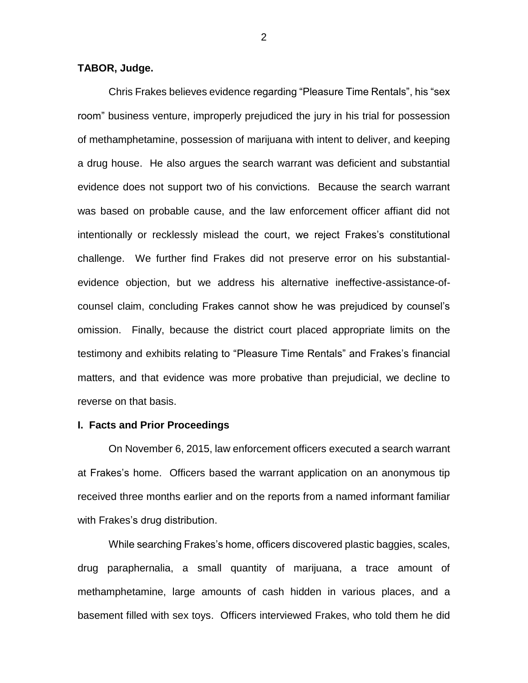## **TABOR, Judge.**

Chris Frakes believes evidence regarding "Pleasure Time Rentals", his "sex room" business venture, improperly prejudiced the jury in his trial for possession of methamphetamine, possession of marijuana with intent to deliver, and keeping a drug house. He also argues the search warrant was deficient and substantial evidence does not support two of his convictions. Because the search warrant was based on probable cause, and the law enforcement officer affiant did not intentionally or recklessly mislead the court, we reject Frakes's constitutional challenge. We further find Frakes did not preserve error on his substantialevidence objection, but we address his alternative ineffective-assistance-ofcounsel claim, concluding Frakes cannot show he was prejudiced by counsel's omission. Finally, because the district court placed appropriate limits on the testimony and exhibits relating to "Pleasure Time Rentals" and Frakes's financial matters, and that evidence was more probative than prejudicial, we decline to reverse on that basis.

### **I. Facts and Prior Proceedings**

On November 6, 2015, law enforcement officers executed a search warrant at Frakes's home. Officers based the warrant application on an anonymous tip received three months earlier and on the reports from a named informant familiar with Frakes's drug distribution.

While searching Frakes's home, officers discovered plastic baggies, scales, drug paraphernalia, a small quantity of marijuana, a trace amount of methamphetamine, large amounts of cash hidden in various places, and a basement filled with sex toys. Officers interviewed Frakes, who told them he did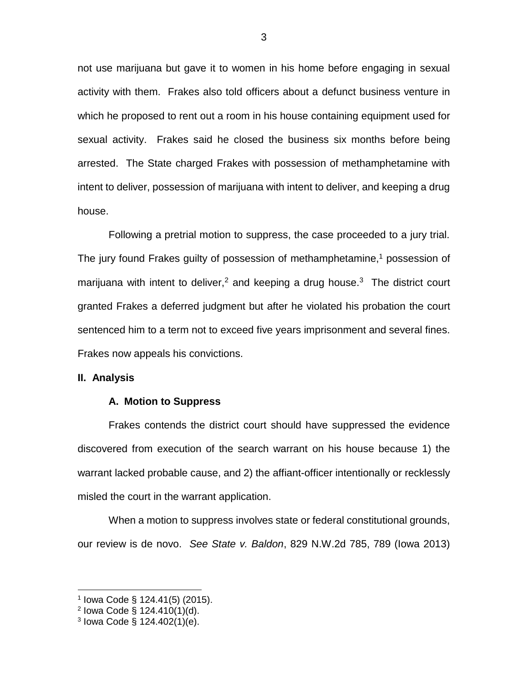not use marijuana but gave it to women in his home before engaging in sexual activity with them. Frakes also told officers about a defunct business venture in which he proposed to rent out a room in his house containing equipment used for sexual activity. Frakes said he closed the business six months before being arrested. The State charged Frakes with possession of methamphetamine with intent to deliver, possession of marijuana with intent to deliver, and keeping a drug house.

Following a pretrial motion to suppress, the case proceeded to a jury trial. The jury found Frakes guilty of possession of methamphetamine, <sup>1</sup> possession of marijuana with intent to deliver,<sup>2</sup> and keeping a drug house.<sup>3</sup> The district court granted Frakes a deferred judgment but after he violated his probation the court sentenced him to a term not to exceed five years imprisonment and several fines. Frakes now appeals his convictions.

#### **II. Analysis**

### **A. Motion to Suppress**

Frakes contends the district court should have suppressed the evidence discovered from execution of the search warrant on his house because 1) the warrant lacked probable cause, and 2) the affiant-officer intentionally or recklessly misled the court in the warrant application.

When a motion to suppress involves state or federal constitutional grounds, our review is de novo. *See State v. Baldon*, 829 N.W.2d 785, 789 (Iowa 2013)

 $\overline{a}$ 

<sup>1</sup> Iowa Code § 124.41(5) (2015).

<sup>&</sup>lt;sup>2</sup> Iowa Code § 124.410(1)(d).

 $3$  lowa Code § 124.402(1)(e).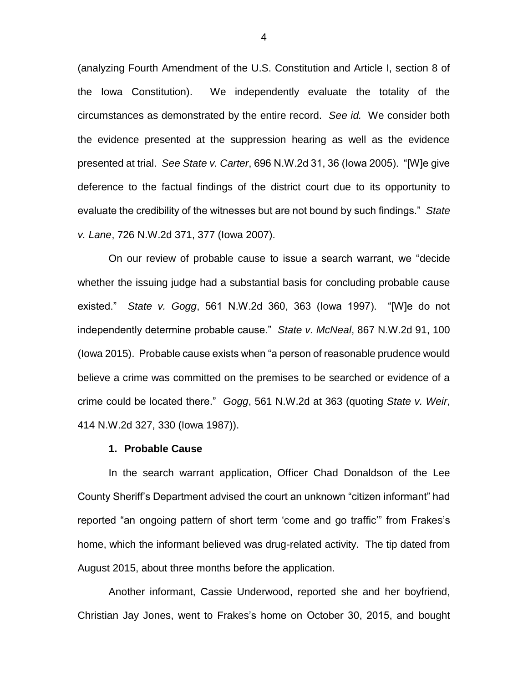(analyzing Fourth Amendment of the U.S. Constitution and Article I, section 8 of the Iowa Constitution). We independently evaluate the totality of the circumstances as demonstrated by the entire record. *See id.* We consider both the evidence presented at the suppression hearing as well as the evidence presented at trial. *See State v. Carter*, 696 N.W.2d 31, 36 (Iowa 2005). "[W]e give deference to the factual findings of the district court due to its opportunity to evaluate the credibility of the witnesses but are not bound by such findings." *State v. Lane*, 726 N.W.2d 371, 377 (Iowa 2007).

On our review of probable cause to issue a search warrant, we "decide whether the issuing judge had a substantial basis for concluding probable cause existed." *State v. Gogg*, 561 N.W.2d 360, 363 (Iowa 1997). "[W]e do not independently determine probable cause." *State v. McNeal*, 867 N.W.2d 91, 100 (Iowa 2015). Probable cause exists when "a person of reasonable prudence would believe a crime was committed on the premises to be searched or evidence of a crime could be located there." *Gogg*, 561 N.W.2d at 363 (quoting *State v. Weir*, 414 N.W.2d 327, 330 (Iowa 1987)).

#### **1. Probable Cause**

In the search warrant application, Officer Chad Donaldson of the Lee County Sheriff's Department advised the court an unknown "citizen informant" had reported "an ongoing pattern of short term 'come and go traffic'" from Frakes's home, which the informant believed was drug-related activity. The tip dated from August 2015, about three months before the application.

Another informant, Cassie Underwood, reported she and her boyfriend, Christian Jay Jones, went to Frakes's home on October 30, 2015, and bought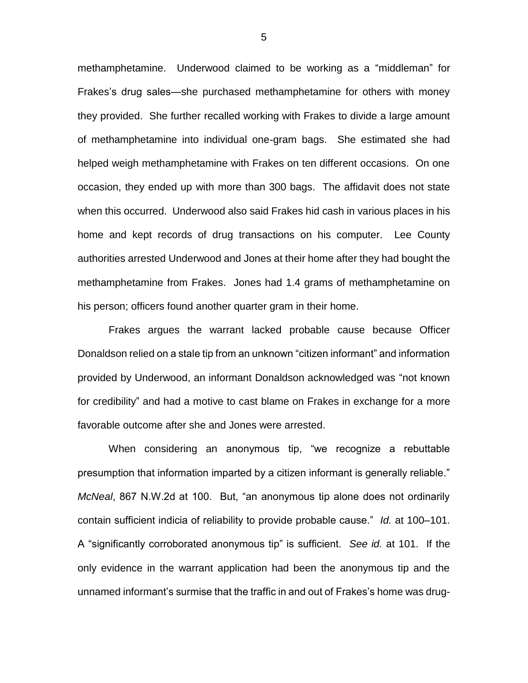methamphetamine. Underwood claimed to be working as a "middleman" for Frakes's drug sales—she purchased methamphetamine for others with money they provided. She further recalled working with Frakes to divide a large amount of methamphetamine into individual one-gram bags. She estimated she had helped weigh methamphetamine with Frakes on ten different occasions. On one occasion, they ended up with more than 300 bags. The affidavit does not state when this occurred. Underwood also said Frakes hid cash in various places in his home and kept records of drug transactions on his computer. Lee County authorities arrested Underwood and Jones at their home after they had bought the methamphetamine from Frakes. Jones had 1.4 grams of methamphetamine on his person; officers found another quarter gram in their home.

Frakes argues the warrant lacked probable cause because Officer Donaldson relied on a stale tip from an unknown "citizen informant" and information provided by Underwood, an informant Donaldson acknowledged was "not known for credibility" and had a motive to cast blame on Frakes in exchange for a more favorable outcome after she and Jones were arrested.

When considering an anonymous tip, "we recognize a rebuttable presumption that information imparted by a citizen informant is generally reliable." *McNeal*, 867 N.W.2d at 100. But, "an anonymous tip alone does not ordinarily contain sufficient indicia of reliability to provide probable cause." *Id.* at 100–101. A "significantly corroborated anonymous tip" is sufficient. *See id.* at 101. If the only evidence in the warrant application had been the anonymous tip and the unnamed informant's surmise that the traffic in and out of Frakes's home was drug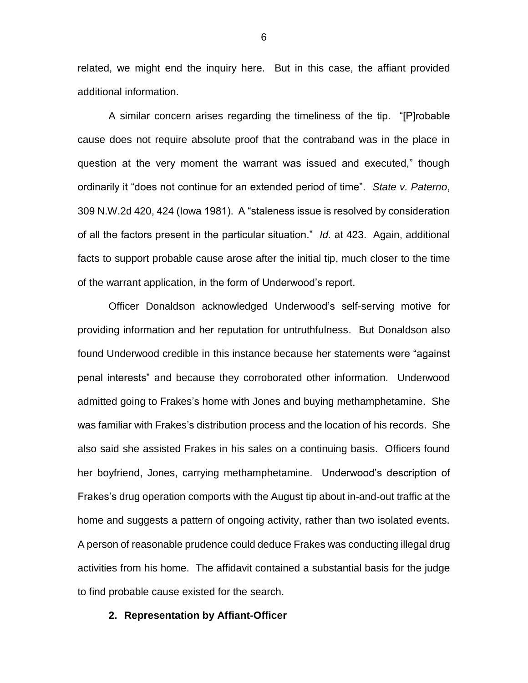related, we might end the inquiry here. But in this case, the affiant provided additional information.

A similar concern arises regarding the timeliness of the tip. "[P]robable cause does not require absolute proof that the contraband was in the place in question at the very moment the warrant was issued and executed," though ordinarily it "does not continue for an extended period of time". *State v. Paterno*, 309 N.W.2d 420, 424 (Iowa 1981). A "staleness issue is resolved by consideration of all the factors present in the particular situation." *Id.* at 423. Again, additional facts to support probable cause arose after the initial tip, much closer to the time of the warrant application, in the form of Underwood's report.

Officer Donaldson acknowledged Underwood's self-serving motive for providing information and her reputation for untruthfulness. But Donaldson also found Underwood credible in this instance because her statements were "against penal interests" and because they corroborated other information. Underwood admitted going to Frakes's home with Jones and buying methamphetamine. She was familiar with Frakes's distribution process and the location of his records. She also said she assisted Frakes in his sales on a continuing basis. Officers found her boyfriend, Jones, carrying methamphetamine. Underwood's description of Frakes's drug operation comports with the August tip about in-and-out traffic at the home and suggests a pattern of ongoing activity, rather than two isolated events. A person of reasonable prudence could deduce Frakes was conducting illegal drug activities from his home. The affidavit contained a substantial basis for the judge to find probable cause existed for the search.

### **2. Representation by Affiant-Officer**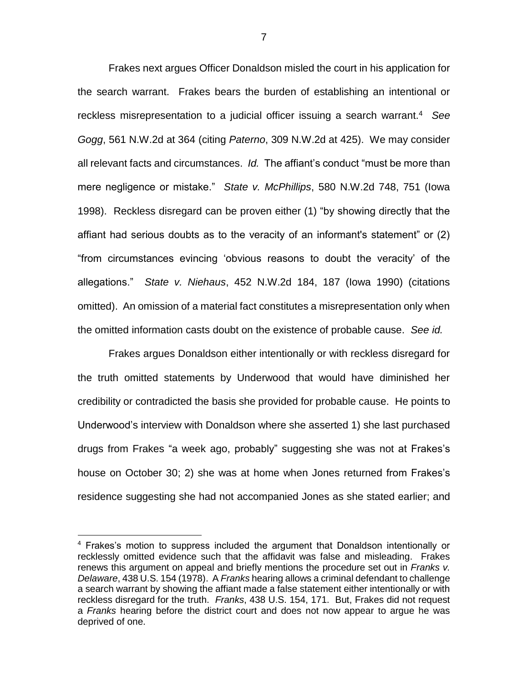Frakes next argues Officer Donaldson misled the court in his application for the search warrant. Frakes bears the burden of establishing an intentional or reckless misrepresentation to a judicial officer issuing a search warrant.<sup>4</sup> *See Gogg*, 561 N.W.2d at 364 (citing *Paterno*, 309 N.W.2d at 425). We may consider all relevant facts and circumstances. *Id.* The affiant's conduct "must be more than mere negligence or mistake." *State v. McPhillips*, 580 N.W.2d 748, 751 (Iowa 1998). Reckless disregard can be proven either (1) "by showing directly that the affiant had serious doubts as to the veracity of an informant's statement" or (2) "from circumstances evincing 'obvious reasons to doubt the veracity' of the allegations." *State v. Niehaus*, 452 N.W.2d 184, 187 (Iowa 1990) (citations omitted). An omission of a material fact constitutes a misrepresentation only when the omitted information casts doubt on the existence of probable cause. *See id.*

Frakes argues Donaldson either intentionally or with reckless disregard for the truth omitted statements by Underwood that would have diminished her credibility or contradicted the basis she provided for probable cause. He points to Underwood's interview with Donaldson where she asserted 1) she last purchased drugs from Frakes "a week ago, probably" suggesting she was not at Frakes's house on October 30; 2) she was at home when Jones returned from Frakes's residence suggesting she had not accompanied Jones as she stated earlier; and

 $\overline{a}$ 

<sup>&</sup>lt;sup>4</sup> Frakes's motion to suppress included the argument that Donaldson intentionally or recklessly omitted evidence such that the affidavit was false and misleading. Frakes renews this argument on appeal and briefly mentions the procedure set out in *Franks v. Delaware*, 438 U.S. 154 (1978). A *Franks* hearing allows a criminal defendant to challenge a search warrant by showing the affiant made a false statement either intentionally or with reckless disregard for the truth. *Franks*, 438 U.S. 154, 171. But, Frakes did not request a *Franks* hearing before the district court and does not now appear to argue he was deprived of one.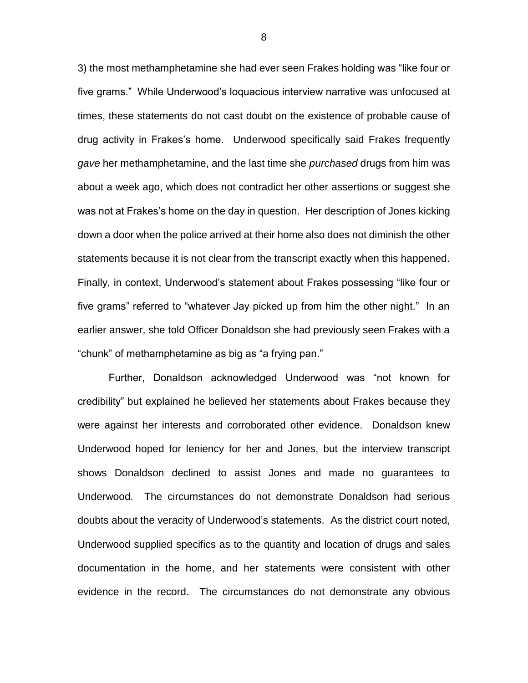3) the most methamphetamine she had ever seen Frakes holding was "like four or five grams." While Underwood's loquacious interview narrative was unfocused at times, these statements do not cast doubt on the existence of probable cause of drug activity in Frakes's home. Underwood specifically said Frakes frequently *gave* her methamphetamine, and the last time she *purchased* drugs from him was about a week ago, which does not contradict her other assertions or suggest she was not at Frakes's home on the day in question. Her description of Jones kicking down a door when the police arrived at their home also does not diminish the other statements because it is not clear from the transcript exactly when this happened. Finally, in context, Underwood's statement about Frakes possessing "like four or five grams" referred to "whatever Jay picked up from him the other night." In an earlier answer, she told Officer Donaldson she had previously seen Frakes with a "chunk" of methamphetamine as big as "a frying pan."

Further, Donaldson acknowledged Underwood was "not known for credibility" but explained he believed her statements about Frakes because they were against her interests and corroborated other evidence. Donaldson knew Underwood hoped for leniency for her and Jones, but the interview transcript shows Donaldson declined to assist Jones and made no guarantees to Underwood. The circumstances do not demonstrate Donaldson had serious doubts about the veracity of Underwood's statements. As the district court noted, Underwood supplied specifics as to the quantity and location of drugs and sales documentation in the home, and her statements were consistent with other evidence in the record. The circumstances do not demonstrate any obvious

8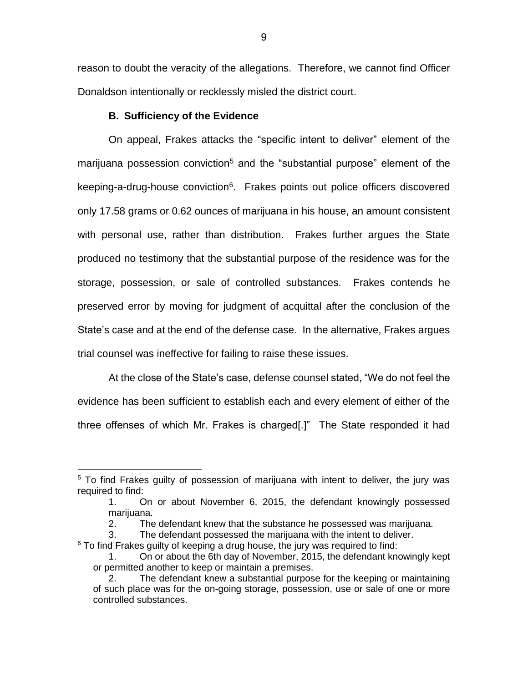reason to doubt the veracity of the allegations. Therefore, we cannot find Officer Donaldson intentionally or recklessly misled the district court.

# **B. Sufficiency of the Evidence**

 $\overline{a}$ 

On appeal, Frakes attacks the "specific intent to deliver" element of the marijuana possession conviction<sup>5</sup> and the "substantial purpose" element of the keeping-a-drug-house conviction<sup>6</sup>. Frakes points out police officers discovered only 17.58 grams or 0.62 ounces of marijuana in his house, an amount consistent with personal use, rather than distribution. Frakes further argues the State produced no testimony that the substantial purpose of the residence was for the storage, possession, or sale of controlled substances. Frakes contends he preserved error by moving for judgment of acquittal after the conclusion of the State's case and at the end of the defense case. In the alternative, Frakes argues trial counsel was ineffective for failing to raise these issues.

At the close of the State's case, defense counsel stated, "We do not feel the evidence has been sufficient to establish each and every element of either of the three offenses of which Mr. Frakes is charged[.]" The State responded it had

 $6$  To find Frakes guilty of keeping a drug house, the jury was required to find:

<sup>&</sup>lt;sup>5</sup> To find Frakes guilty of possession of marijuana with intent to deliver, the jury was required to find:

<sup>1.</sup> On or about November 6, 2015, the defendant knowingly possessed marijuana.

<sup>2.</sup> The defendant knew that the substance he possessed was marijuana.

<sup>3.</sup> The defendant possessed the marijuana with the intent to deliver.

<sup>1.</sup> On or about the 6th day of November, 2015, the defendant knowingly kept or permitted another to keep or maintain a premises.

<sup>2.</sup> The defendant knew a substantial purpose for the keeping or maintaining of such place was for the on-going storage, possession, use or sale of one or more controlled substances.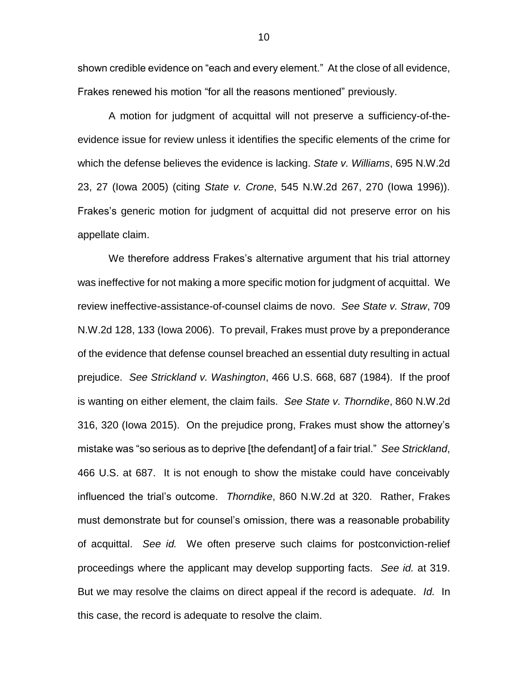shown credible evidence on "each and every element." At the close of all evidence, Frakes renewed his motion "for all the reasons mentioned" previously.

A motion for judgment of acquittal will not preserve a sufficiency-of-theevidence issue for review unless it identifies the specific elements of the crime for which the defense believes the evidence is lacking. *State v. Williams*, 695 N.W.2d 23, 27 (Iowa 2005) (citing *State v. Crone*, 545 N.W.2d 267, 270 (Iowa 1996)). Frakes's generic motion for judgment of acquittal did not preserve error on his appellate claim.

We therefore address Frakes's alternative argument that his trial attorney was ineffective for not making a more specific motion for judgment of acquittal. We review ineffective-assistance-of-counsel claims de novo. *See State v. Straw*, 709 N.W.2d 128, 133 (Iowa 2006). To prevail, Frakes must prove by a preponderance of the evidence that defense counsel breached an essential duty resulting in actual prejudice. *See Strickland v. Washington*, 466 U.S. 668, 687 (1984). If the proof is wanting on either element, the claim fails. *See State v. Thorndike*, 860 N.W.2d 316, 320 (Iowa 2015). On the prejudice prong, Frakes must show the attorney's mistake was "so serious as to deprive [the defendant] of a fair trial." *See Strickland*, 466 U.S. at 687. It is not enough to show the mistake could have conceivably influenced the trial's outcome. *Thorndike*, 860 N.W.2d at 320. Rather, Frakes must demonstrate but for counsel's omission, there was a reasonable probability of acquittal. *See id.* We often preserve such claims for postconviction-relief proceedings where the applicant may develop supporting facts. *See id.* at 319. But we may resolve the claims on direct appeal if the record is adequate. *Id.* In this case, the record is adequate to resolve the claim.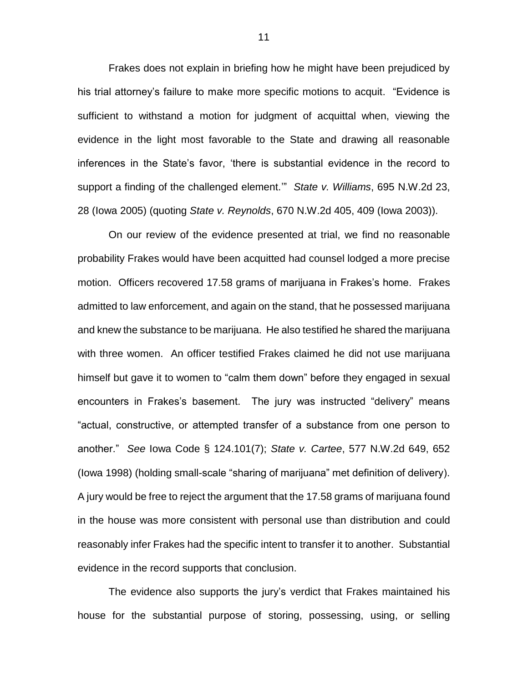Frakes does not explain in briefing how he might have been prejudiced by his trial attorney's failure to make more specific motions to acquit. "Evidence is sufficient to withstand a motion for judgment of acquittal when, viewing the evidence in the light most favorable to the State and drawing all reasonable inferences in the State's favor, 'there is substantial evidence in the record to support a finding of the challenged element.'" *State v. Williams*, 695 N.W.2d 23, 28 (Iowa 2005) (quoting *State v. Reynolds*, 670 N.W.2d 405, 409 (Iowa 2003)).

On our review of the evidence presented at trial, we find no reasonable probability Frakes would have been acquitted had counsel lodged a more precise motion. Officers recovered 17.58 grams of marijuana in Frakes's home. Frakes admitted to law enforcement, and again on the stand, that he possessed marijuana and knew the substance to be marijuana. He also testified he shared the marijuana with three women. An officer testified Frakes claimed he did not use marijuana himself but gave it to women to "calm them down" before they engaged in sexual encounters in Frakes's basement. The jury was instructed "delivery" means "actual, constructive, or attempted transfer of a substance from one person to another." *See* Iowa Code § 124.101(7); *State v. Cartee*, 577 N.W.2d 649, 652 (Iowa 1998) (holding small-scale "sharing of marijuana" met definition of delivery). A jury would be free to reject the argument that the 17.58 grams of marijuana found in the house was more consistent with personal use than distribution and could reasonably infer Frakes had the specific intent to transfer it to another. Substantial evidence in the record supports that conclusion.

The evidence also supports the jury's verdict that Frakes maintained his house for the substantial purpose of storing, possessing, using, or selling

11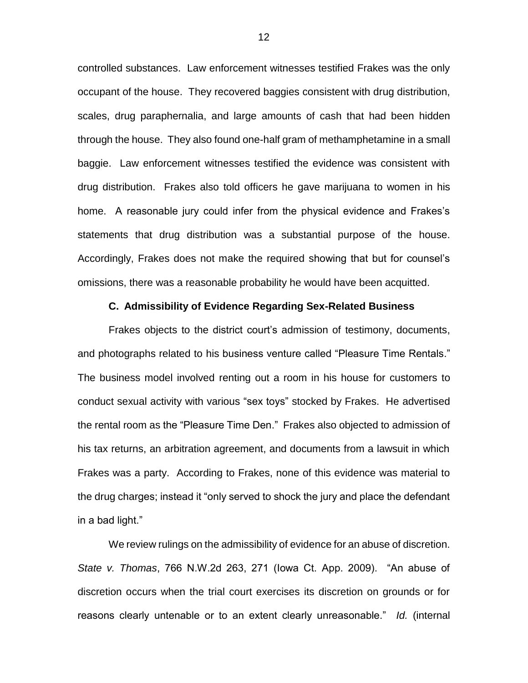controlled substances. Law enforcement witnesses testified Frakes was the only occupant of the house. They recovered baggies consistent with drug distribution, scales, drug paraphernalia, and large amounts of cash that had been hidden through the house. They also found one-half gram of methamphetamine in a small baggie. Law enforcement witnesses testified the evidence was consistent with drug distribution. Frakes also told officers he gave marijuana to women in his home. A reasonable jury could infer from the physical evidence and Frakes's statements that drug distribution was a substantial purpose of the house. Accordingly, Frakes does not make the required showing that but for counsel's omissions, there was a reasonable probability he would have been acquitted.

## **C. Admissibility of Evidence Regarding Sex-Related Business**

Frakes objects to the district court's admission of testimony, documents, and photographs related to his business venture called "Pleasure Time Rentals." The business model involved renting out a room in his house for customers to conduct sexual activity with various "sex toys" stocked by Frakes. He advertised the rental room as the "Pleasure Time Den." Frakes also objected to admission of his tax returns, an arbitration agreement, and documents from a lawsuit in which Frakes was a party. According to Frakes, none of this evidence was material to the drug charges; instead it "only served to shock the jury and place the defendant in a bad light."

We review rulings on the admissibility of evidence for an abuse of discretion. *State v. Thomas*, 766 N.W.2d 263, 271 (Iowa Ct. App. 2009). "An abuse of discretion occurs when the trial court exercises its discretion on grounds or for reasons clearly untenable or to an extent clearly unreasonable." *Id.* (internal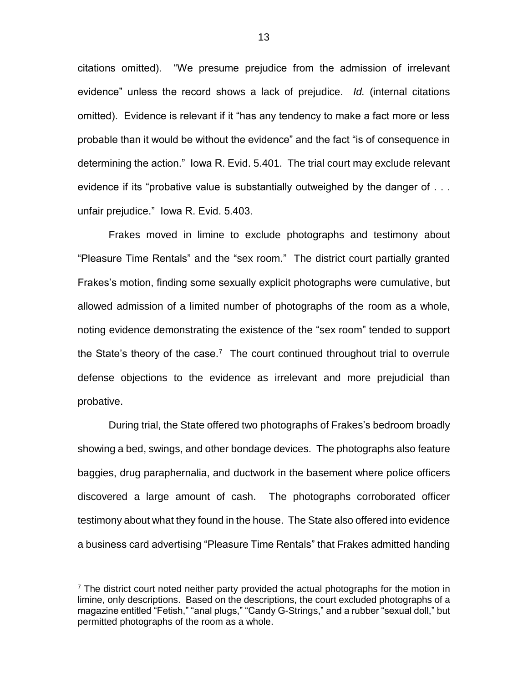citations omitted). "We presume prejudice from the admission of irrelevant evidence" unless the record shows a lack of prejudice. *Id.* (internal citations omitted). Evidence is relevant if it "has any tendency to make a fact more or less probable than it would be without the evidence" and the fact "is of consequence in determining the action." Iowa R. Evid. 5.401. The trial court may exclude relevant evidence if its "probative value is substantially outweighed by the danger of . . . unfair prejudice." Iowa R. Evid. 5.403.

Frakes moved in limine to exclude photographs and testimony about "Pleasure Time Rentals" and the "sex room." The district court partially granted Frakes's motion, finding some sexually explicit photographs were cumulative, but allowed admission of a limited number of photographs of the room as a whole, noting evidence demonstrating the existence of the "sex room" tended to support the State's theory of the case.<sup>7</sup> The court continued throughout trial to overrule defense objections to the evidence as irrelevant and more prejudicial than probative.

During trial, the State offered two photographs of Frakes's bedroom broadly showing a bed, swings, and other bondage devices. The photographs also feature baggies, drug paraphernalia, and ductwork in the basement where police officers discovered a large amount of cash. The photographs corroborated officer testimony about what they found in the house. The State also offered into evidence a business card advertising "Pleasure Time Rentals" that Frakes admitted handing

 $\overline{a}$ 

 $<sup>7</sup>$  The district court noted neither party provided the actual photographs for the motion in</sup> limine, only descriptions. Based on the descriptions, the court excluded photographs of a magazine entitled "Fetish," "anal plugs," "Candy G-Strings," and a rubber "sexual doll," but permitted photographs of the room as a whole.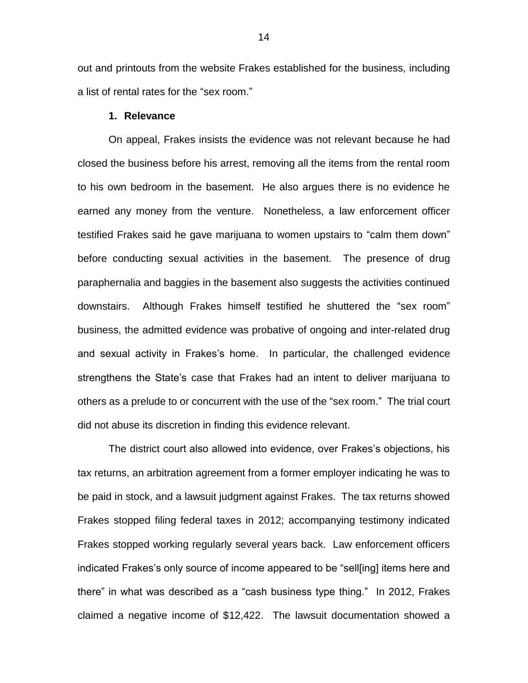out and printouts from the website Frakes established for the business, including a list of rental rates for the "sex room."

## **1. Relevance**

On appeal, Frakes insists the evidence was not relevant because he had closed the business before his arrest, removing all the items from the rental room to his own bedroom in the basement. He also argues there is no evidence he earned any money from the venture. Nonetheless, a law enforcement officer testified Frakes said he gave marijuana to women upstairs to "calm them down" before conducting sexual activities in the basement. The presence of drug paraphernalia and baggies in the basement also suggests the activities continued downstairs. Although Frakes himself testified he shuttered the "sex room" business, the admitted evidence was probative of ongoing and inter-related drug and sexual activity in Frakes's home. In particular, the challenged evidence strengthens the State's case that Frakes had an intent to deliver marijuana to others as a prelude to or concurrent with the use of the "sex room." The trial court did not abuse its discretion in finding this evidence relevant.

The district court also allowed into evidence, over Frakes's objections, his tax returns, an arbitration agreement from a former employer indicating he was to be paid in stock, and a lawsuit judgment against Frakes. The tax returns showed Frakes stopped filing federal taxes in 2012; accompanying testimony indicated Frakes stopped working regularly several years back. Law enforcement officers indicated Frakes's only source of income appeared to be "sell[ing] items here and there" in what was described as a "cash business type thing." In 2012, Frakes claimed a negative income of \$12,422. The lawsuit documentation showed a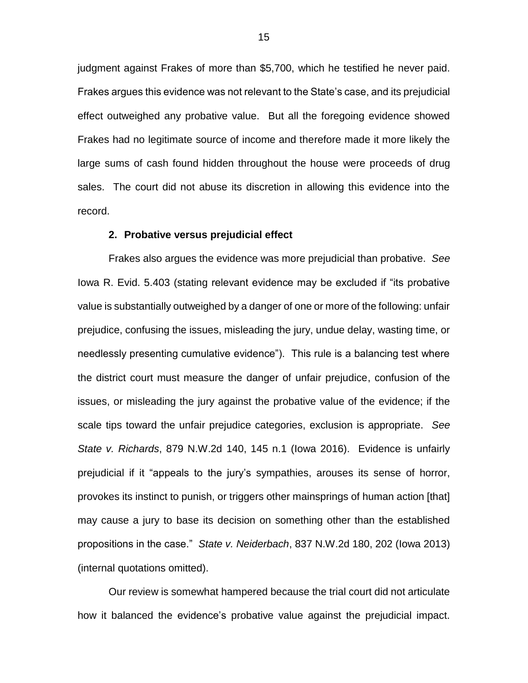judgment against Frakes of more than \$5,700, which he testified he never paid. Frakes argues this evidence was not relevant to the State's case, and its prejudicial effect outweighed any probative value. But all the foregoing evidence showed Frakes had no legitimate source of income and therefore made it more likely the large sums of cash found hidden throughout the house were proceeds of drug sales. The court did not abuse its discretion in allowing this evidence into the record.

#### **2. Probative versus prejudicial effect**

Frakes also argues the evidence was more prejudicial than probative. *See* Iowa R. Evid. 5.403 (stating relevant evidence may be excluded if "its probative value is substantially outweighed by a danger of one or more of the following: unfair prejudice, confusing the issues, misleading the jury, undue delay, wasting time, or needlessly presenting cumulative evidence"). This rule is a balancing test where the district court must measure the danger of unfair prejudice, confusion of the issues, or misleading the jury against the probative value of the evidence; if the scale tips toward the unfair prejudice categories, exclusion is appropriate. *See State v. Richards*, 879 N.W.2d 140, 145 n.1 (Iowa 2016). Evidence is unfairly prejudicial if it "appeals to the jury's sympathies, arouses its sense of horror, provokes its instinct to punish, or triggers other mainsprings of human action [that] may cause a jury to base its decision on something other than the established propositions in the case." *State v. Neiderbach*, 837 N.W.2d 180, 202 (Iowa 2013) (internal quotations omitted).

Our review is somewhat hampered because the trial court did not articulate how it balanced the evidence's probative value against the prejudicial impact.